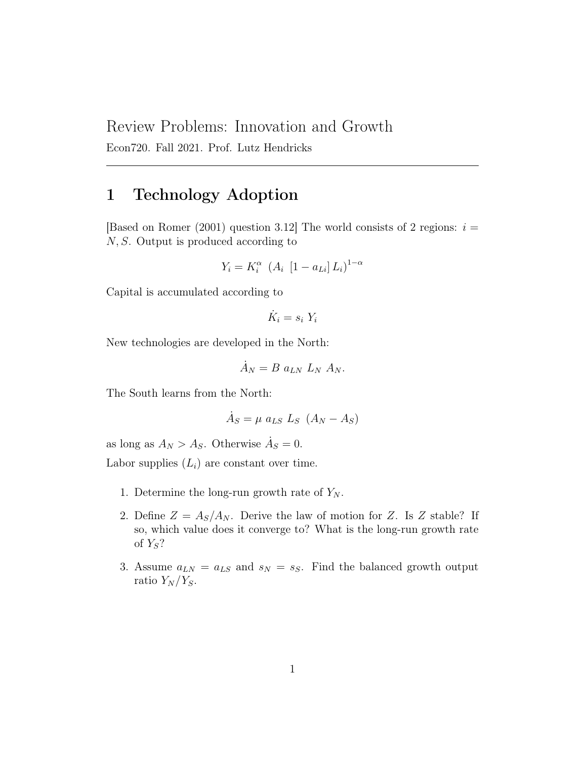# Review Problems: Innovation and Growth

Econ720. Fall 2021. Prof. Lutz Hendricks

# 1 Technology Adoption

[Based on Romer (2001) question 3.12] The world consists of 2 regions:  $i =$ N, S. Output is produced according to

$$
Y_i = K_i^{\alpha} \left( A_i \left[ 1 - a_{Li} \right] L_i \right)^{1 - \alpha}
$$

Capital is accumulated according to

$$
\dot{K}_i = s_i \; Y_i
$$

New technologies are developed in the North:

$$
\dot{A}_N = B a_{LN} L_N A_N.
$$

The South learns from the North:

$$
\dot{A}_S = \mu a_{LS} L_S (A_N - A_S)
$$

as long as  $A_N > A_S$ . Otherwise  $\dot{A}_S = 0$ .

Labor supplies  $(L_i)$  are constant over time.

- 1. Determine the long-run growth rate of  $Y_N$ .
- 2. Define  $Z = A_S/A_N$ . Derive the law of motion for Z. Is Z stable? If so, which value does it converge to? What is the long-run growth rate of  $Y_S$ ?
- 3. Assume  $a_{LN} = a_{LS}$  and  $s_N = s_S$ . Find the balanced growth output ratio  $Y_N/Y_S$ .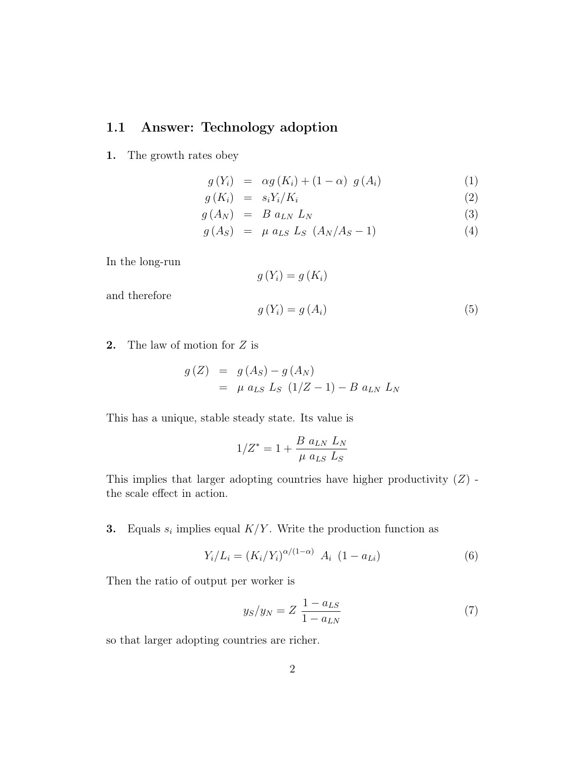### 1.1 Answer: Technology adoption

1. The growth rates obey

$$
g(Y_i) = \alpha g(K_i) + (1 - \alpha) g(A_i) \tag{1}
$$

$$
g(K_i) = s_i Y_i / K_i \tag{2}
$$

$$
g(A_N) = B a_{LN} L_N \tag{3}
$$

$$
g(A_S) = \mu a_{LS} L_S (A_N / A_S - 1) \tag{4}
$$

In the long-run

and therefore

$$
g(Y_i) = g(K_i)
$$
  

$$
g(Y_i) = g(A_i)
$$
 (5)

**2.** The law of motion for  $Z$  is

$$
g(Z) = g(A_S) - g(A_N)
$$
  
=  $\mu a_{LS} L_S (1/Z - 1) - B a_{LN} L_N$ 

This has a unique, stable steady state. Its value is

$$
1/Z^* = 1 + \frac{B a_{LN} L_N}{\mu a_{LS} L_S}
$$

This implies that larger adopting countries have higher productivity  $(Z)$  the scale effect in action.

**3.** Equals  $s_i$  implies equal  $K/Y$ . Write the production function as

$$
Y_i/L_i = (K_i/Y_i)^{\alpha/(1-\alpha)} A_i (1 - a_{Li})
$$
\n(6)

Then the ratio of output per worker is

$$
y_S/y_N = Z \frac{1 - a_{LS}}{1 - a_{LN}} \tag{7}
$$

so that larger adopting countries are richer.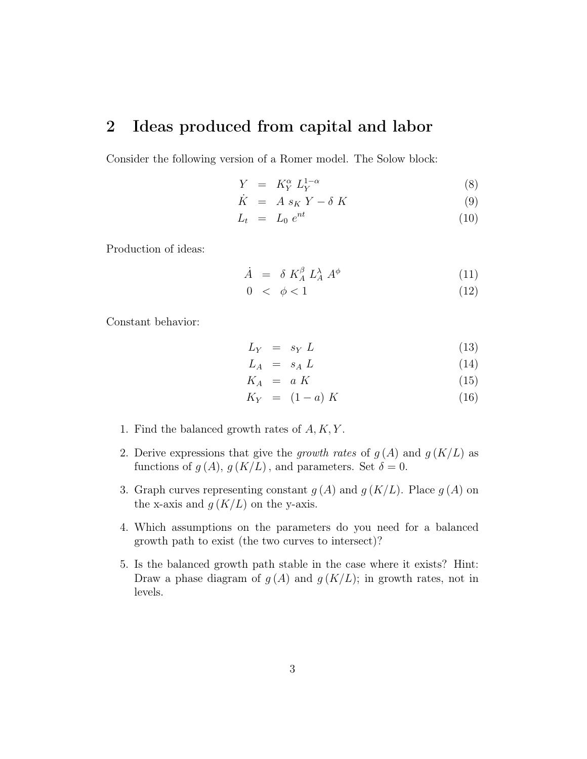## 2 Ideas produced from capital and labor

Consider the following version of a Romer model. The Solow block:

$$
Y = K_Y^{\alpha} L_Y^{1-\alpha}
$$
 (8)

$$
\dot{K} = A s_K Y - \delta K \tag{9}
$$

$$
L_t = L_0 e^{nt} \tag{10}
$$

Production of ideas:

$$
\dot{A} = \delta K_A^{\beta} L_A^{\lambda} A^{\phi} \tag{11}
$$

$$
0 < \phi < 1 \tag{12}
$$

Constant behavior:

$$
L_Y = s_Y L \tag{13}
$$

$$
L_A = s_A L \tag{14}
$$

$$
K_A = a K \tag{15}
$$

$$
K_Y = (1 - a) K \tag{16}
$$

- 1. Find the balanced growth rates of  $A, K, Y$ .
- 2. Derive expressions that give the growth rates of  $g(A)$  and  $g(K/L)$  as functions of  $q(A)$ ,  $q(K/L)$ , and parameters. Set  $\delta = 0$ .
- 3. Graph curves representing constant  $g(A)$  and  $g(K/L)$ . Place  $g(A)$  on the x-axis and  $g(K/L)$  on the y-axis.
- 4. Which assumptions on the parameters do you need for a balanced growth path to exist (the two curves to intersect)?
- 5. Is the balanced growth path stable in the case where it exists? Hint: Draw a phase diagram of  $g(A)$  and  $g(K/L)$ ; in growth rates, not in levels.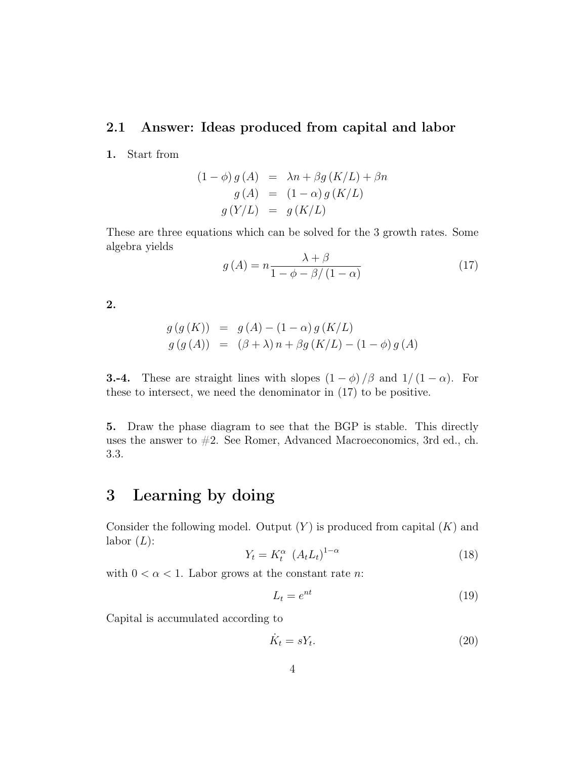### 2.1 Answer: Ideas produced from capital and labor

1. Start from

$$
(1 - \phi) g(A) = \lambda n + \beta g(K/L) + \beta n
$$
  
\n
$$
g(A) = (1 - \alpha) g(K/L)
$$
  
\n
$$
g(Y/L) = g(K/L)
$$

These are three equations which can be solved for the 3 growth rates. Some algebra yields

$$
g(A) = n \frac{\lambda + \beta}{1 - \phi - \beta / (1 - \alpha)}
$$
\n(17)

2.

$$
g(g(K)) = g(A) - (1 - \alpha) g(K/L)
$$
  
\n
$$
g(g(A)) = (\beta + \lambda) n + \beta g(K/L) - (1 - \phi) g(A)
$$

**3.-4.** These are straight lines with slopes  $(1 - \phi)/\beta$  and  $1/(1 - \alpha)$ . For these to intersect, we need the denominator in (17) to be positive.

5. Draw the phase diagram to see that the BGP is stable. This directly uses the answer to  $#2$ . See Romer, Advanced Macroeconomics, 3rd ed., ch. 3.3.

## 3 Learning by doing

Consider the following model. Output  $(Y)$  is produced from capital  $(K)$  and labor  $(L)$ :

$$
Y_t = K_t^{\alpha} \left( A_t L_t \right)^{1-\alpha} \tag{18}
$$

with  $0 < \alpha < 1$ . Labor grows at the constant rate *n*:

$$
L_t = e^{nt} \tag{19}
$$

Capital is accumulated according to

$$
\dot{K}_t = sY_t. \tag{20}
$$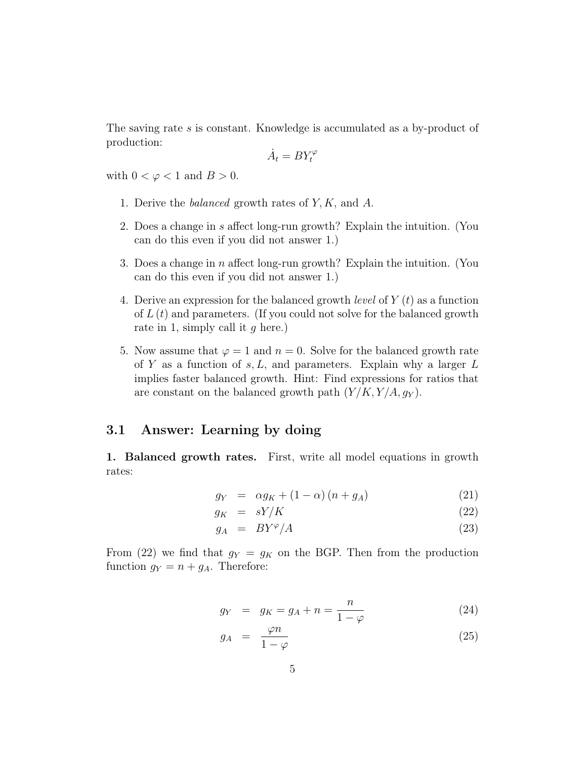The saving rate s is constant. Knowledge is accumulated as a by-product of production:

$$
\dot{A}_t = BY_t^{\varphi}
$$

with  $0 < \varphi < 1$  and  $B > 0$ .

- 1. Derive the balanced growth rates of Y, K, and A.
- 2. Does a change in s affect long-run growth? Explain the intuition. (You can do this even if you did not answer 1.)
- 3. Does a change in  $n$  affect long-run growth? Explain the intuition. (You can do this even if you did not answer 1.)
- 4. Derive an expression for the balanced growth *level* of  $Y(t)$  as a function of  $L(t)$  and parameters. (If you could not solve for the balanced growth rate in 1, simply call it  $q$  here.)
- 5. Now assume that  $\varphi = 1$  and  $n = 0$ . Solve for the balanced growth rate of Y as a function of  $s, L$ , and parameters. Explain why a larger  $L$ implies faster balanced growth. Hint: Find expressions for ratios that are constant on the balanced growth path  $(Y/K, Y/A, g_Y)$ .

#### 3.1 Answer: Learning by doing

1. Balanced growth rates. First, write all model equations in growth rates:

$$
g_Y = \alpha g_K + (1 - \alpha) (n + g_A) \tag{21}
$$

$$
g_K = sY/K \tag{22}
$$

$$
g_A = BY^{\varphi}/A \tag{23}
$$

From (22) we find that  $g_Y = g_K$  on the BGP. Then from the production function  $g_Y = n + g_A$ . Therefore:

$$
g_Y = g_K = g_A + n = \frac{n}{1 - \varphi} \tag{24}
$$

$$
g_A = \frac{\varphi n}{1 - \varphi} \tag{25}
$$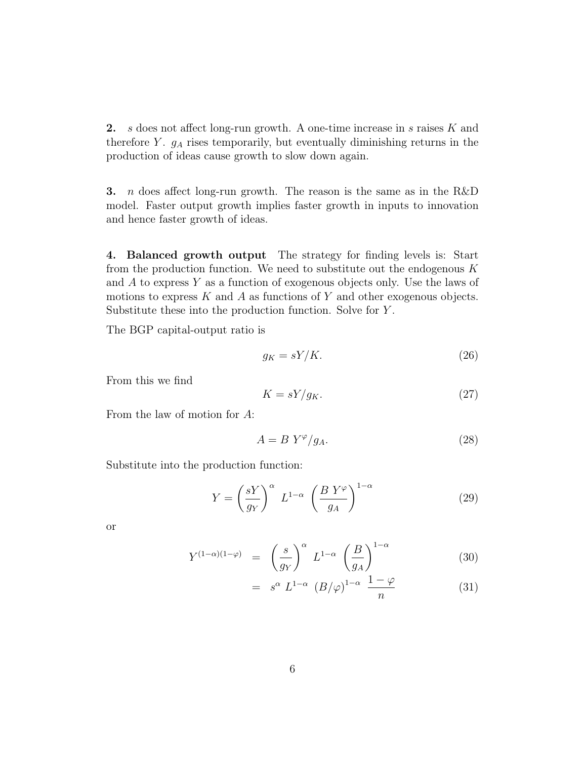2. s does not affect long-run growth. A one-time increase in s raises K and therefore  $Y$ .  $g_A$  rises temporarily, but eventually diminishing returns in the production of ideas cause growth to slow down again.

**3.** *n* does affect long-run growth. The reason is the same as in the R&D model. Faster output growth implies faster growth in inputs to innovation and hence faster growth of ideas.

4. Balanced growth output The strategy for finding levels is: Start from the production function. We need to substitute out the endogenous  $K$ and  $A$  to express  $Y$  as a function of exogenous objects only. Use the laws of motions to express  $K$  and  $A$  as functions of  $Y$  and other exogenous objects. Substitute these into the production function. Solve for Y .

The BGP capital-output ratio is

$$
g_K = sY/K.\t\t(26)
$$

From this we find

$$
K = sY/g_K. \t\t(27)
$$

From the law of motion for A:

$$
A = B \ Y^{\varphi}/g_A. \tag{28}
$$

Substitute into the production function:

$$
Y = \left(\frac{sY}{g_Y}\right)^{\alpha} L^{1-\alpha} \left(\frac{B Y^{\varphi}}{g_A}\right)^{1-\alpha} \tag{29}
$$

or

$$
Y^{(1-\alpha)(1-\varphi)} = \left(\frac{s}{g_Y}\right)^{\alpha} L^{1-\alpha} \left(\frac{B}{g_A}\right)^{1-\alpha} \tag{30}
$$

$$
= s^{\alpha} L^{1-\alpha} (B/\varphi)^{1-\alpha} \frac{1-\varphi}{n}
$$
 (31)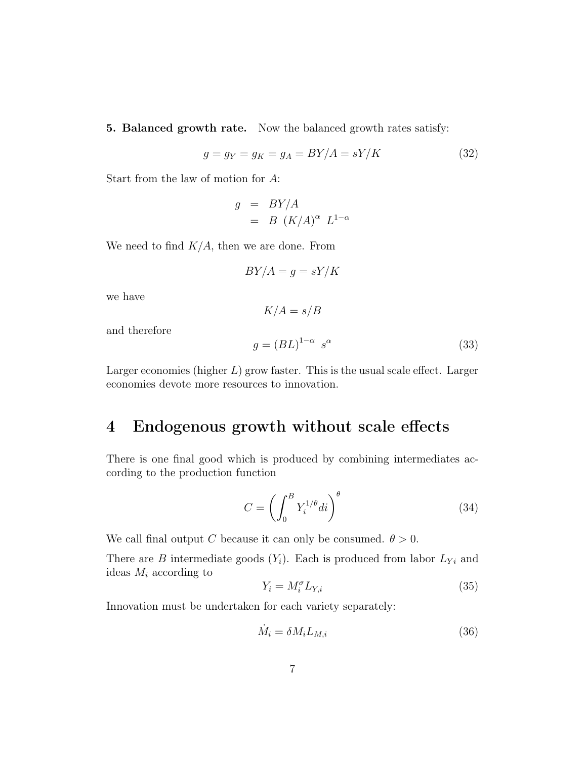5. Balanced growth rate. Now the balanced growth rates satisfy:

$$
g = g_Y = g_K = g_A = BY/A = sY/K\tag{32}
$$

Start from the law of motion for A:

$$
g = BY/A
$$
  
=  $B (K/A)^{\alpha} L^{1-\alpha}$ 

We need to find  $K/A$ , then we are done. From

$$
BY/A = g = sY/K
$$

 $K/A = s/B$ 

we have

$$
g = (BL)^{1-\alpha} s^{\alpha} \tag{33}
$$

and therefore

Larger economics (higher 
$$
L
$$
) grow faster. This is the usual scale effect. Larger economics devote more resources to innovation.

## 4 Endogenous growth without scale effects

There is one final good which is produced by combining intermediates according to the production function

$$
C = \left(\int_0^B Y_i^{1/\theta} di\right)^{\theta} \tag{34}
$$

We call final output C because it can only be consumed.  $\theta > 0$ .

There are B intermediate goods  $(Y_i)$ . Each is produced from labor  $L_{Y_i}$  and ideas  $M_i$  according to

$$
Y_i = M_i^{\sigma} L_{Y,i} \tag{35}
$$

Innovation must be undertaken for each variety separately:

$$
\dot{M}_i = \delta M_i L_{M,i} \tag{36}
$$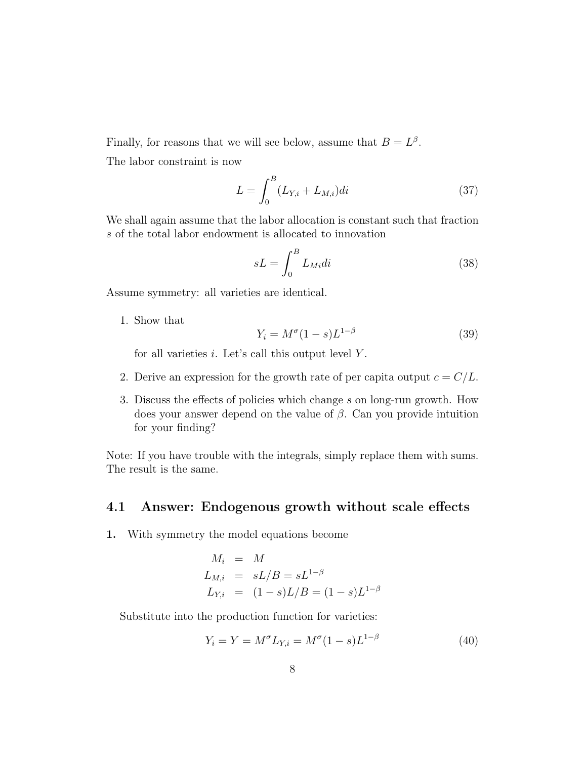Finally, for reasons that we will see below, assume that  $B=L^{\beta}$ . The labor constraint is now

$$
L = \int_{0}^{B} (L_{Y,i} + L_{M,i})di
$$
 (37)

We shall again assume that the labor allocation is constant such that fraction s of the total labor endowment is allocated to innovation

$$
sL = \int_0^B L_{Mid} \, i \tag{38}
$$

Assume symmetry: all varieties are identical.

1. Show that

$$
Y_i = M^{\sigma} (1 - s) L^{1 - \beta} \tag{39}
$$

for all varieties  $i$ . Let's call this output level  $Y$ .

- 2. Derive an expression for the growth rate of per capita output  $c = C/L$ .
- 3. Discuss the effects of policies which change s on long-run growth. How does your answer depend on the value of  $\beta$ . Can you provide intuition for your finding?

Note: If you have trouble with the integrals, simply replace them with sums. The result is the same.

### 4.1 Answer: Endogenous growth without scale effects

1. With symmetry the model equations become

$$
M_i = M
$$
  
\n
$$
L_{M,i} = sL/B = sL^{1-\beta}
$$
  
\n
$$
L_{Y,i} = (1-s)L/B = (1-s)L^{1-\beta}
$$

Substitute into the production function for varieties:

$$
Y_i = Y = M^{\sigma} L_{Y,i} = M^{\sigma} (1 - s) L^{1 - \beta}
$$
\n(40)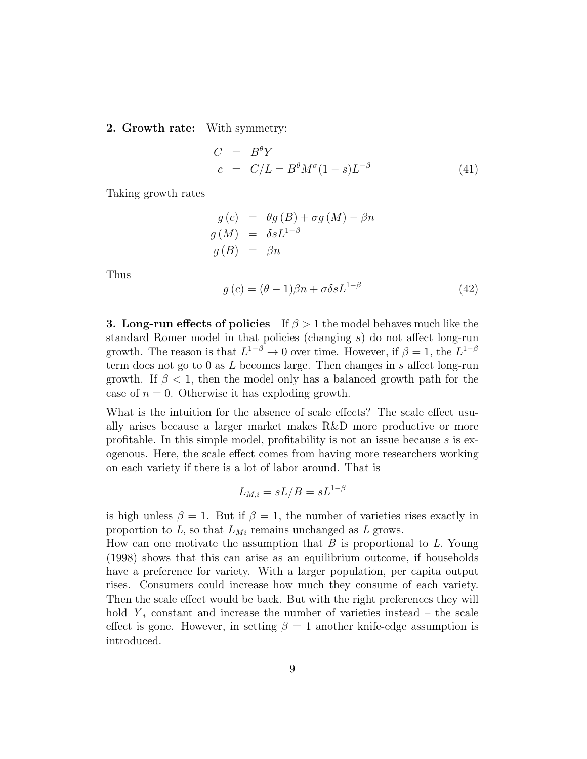2. Growth rate: With symmetry:

$$
C = B^{\theta} Y
$$
  
\n
$$
c = C/L = B^{\theta} M^{\sigma} (1 - s) L^{-\beta}
$$
\n(41)

Taking growth rates

$$
g(c) = \theta g(B) + \sigma g(M) - \beta n
$$
  
\n
$$
g(M) = \delta s L^{1-\beta}
$$
  
\n
$$
g(B) = \beta n
$$

Thus

$$
g(c) = (\theta - 1)\beta n + \sigma \delta s L^{1-\beta}
$$
\n(42)

**3. Long-run effects of policies** If  $\beta > 1$  the model behaves much like the standard Romer model in that policies (changing s) do not affect long-run growth. The reason is that  $L^{1-\beta} \to 0$  over time. However, if  $\beta = 1$ , the  $L^{1-\beta}$ term does not go to 0 as  $L$  becomes large. Then changes in s affect long-run growth. If  $\beta$  < 1, then the model only has a balanced growth path for the case of  $n = 0$ . Otherwise it has exploding growth.

What is the intuition for the absence of scale effects? The scale effect usually arises because a larger market makes R&D more productive or more profitable. In this simple model, profitability is not an issue because s is exogenous. Here, the scale effect comes from having more researchers working on each variety if there is a lot of labor around. That is

$$
L_{M,i} = sL/B = sL^{1-\beta}
$$

is high unless  $\beta = 1$ . But if  $\beta = 1$ , the number of varieties rises exactly in proportion to  $L$ , so that  $L_{Mi}$  remains unchanged as  $L$  grows.

How can one motivate the assumption that  $B$  is proportional to  $L$ . Young (1998) shows that this can arise as an equilibrium outcome, if households have a preference for variety. With a larger population, per capita output rises. Consumers could increase how much they consume of each variety. Then the scale effect would be back. But with the right preferences they will hold  $Y_i$  constant and increase the number of varieties instead – the scale effect is gone. However, in setting  $\beta = 1$  another knife-edge assumption is introduced.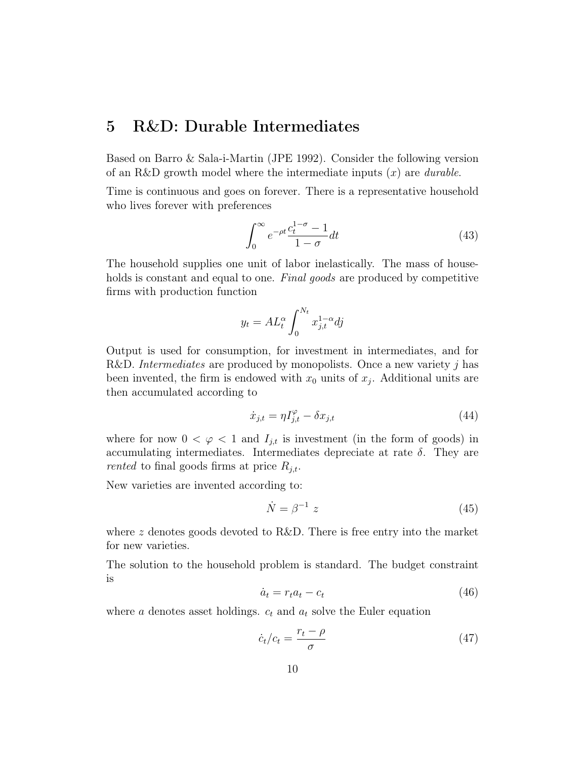## 5 R&D: Durable Intermediates

Based on Barro & Sala-i-Martin (JPE 1992). Consider the following version of an R&D growth model where the intermediate inputs  $(x)$  are *durable*.

Time is continuous and goes on forever. There is a representative household who lives forever with preferences

$$
\int_0^\infty e^{-\rho t} \frac{c_t^{1-\sigma} - 1}{1 - \sigma} dt \tag{43}
$$

The household supplies one unit of labor inelastically. The mass of households is constant and equal to one. Final goods are produced by competitive firms with production function

$$
y_t = AL_t^{\alpha} \int_0^{N_t} x_{j,t}^{1-\alpha} dj
$$

Output is used for consumption, for investment in intermediates, and for R&D. Intermediates are produced by monopolists. Once a new variety j has been invented, the firm is endowed with  $x_0$  units of  $x_j$ . Additional units are then accumulated according to

$$
\dot{x}_{j,t} = \eta I_{j,t}^{\varphi} - \delta x_{j,t} \tag{44}
$$

where for now  $0 < \varphi < 1$  and  $I_{j,t}$  is investment (in the form of goods) in accumulating intermediates. Intermediates depreciate at rate  $\delta$ . They are rented to final goods firms at price  $R_{j,t}$ .

New varieties are invented according to:

$$
\dot{N} = \beta^{-1} z \tag{45}
$$

where z denotes goods devoted to R&D. There is free entry into the market for new varieties.

The solution to the household problem is standard. The budget constraint is

$$
\dot{a}_t = r_t a_t - c_t \tag{46}
$$

where a denotes asset holdings.  $c_t$  and  $a_t$  solve the Euler equation

$$
\dot{c}_t/c_t = \frac{r_t - \rho}{\sigma} \tag{47}
$$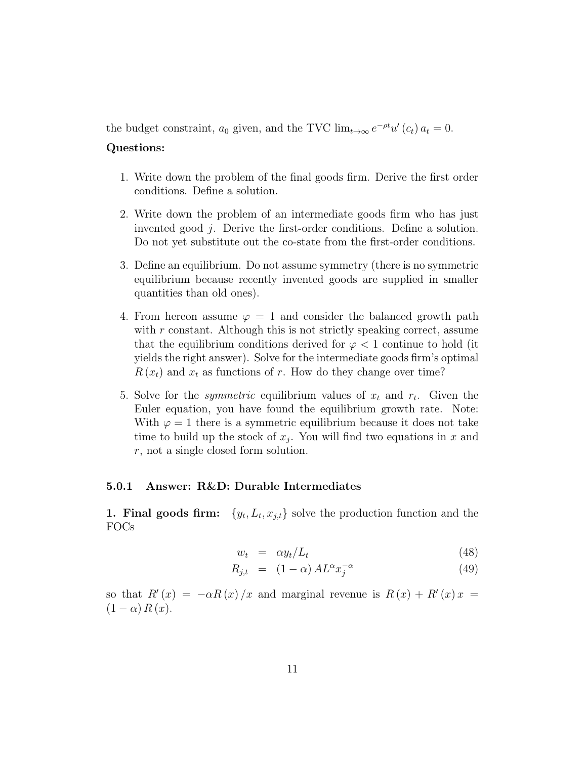the budget constraint,  $a_0$  given, and the TVC  $\lim_{t\to\infty} e^{-\rho t} u'(c_t) a_t = 0$ .

#### Questions:

- 1. Write down the problem of the final goods firm. Derive the first order conditions. Define a solution.
- 2. Write down the problem of an intermediate goods firm who has just invented good j. Derive the first-order conditions. Define a solution. Do not yet substitute out the co-state from the first-order conditions.
- 3. Define an equilibrium. Do not assume symmetry (there is no symmetric equilibrium because recently invented goods are supplied in smaller quantities than old ones).
- 4. From hereon assume  $\varphi = 1$  and consider the balanced growth path with  $r$  constant. Although this is not strictly speaking correct, assume that the equilibrium conditions derived for  $\varphi < 1$  continue to hold (it yields the right answer). Solve for the intermediate goods firm's optimal  $R(x_t)$  and  $x_t$  as functions of r. How do they change over time?
- 5. Solve for the *symmetric* equilibrium values of  $x_t$  and  $r_t$ . Given the Euler equation, you have found the equilibrium growth rate. Note: With  $\varphi = 1$  there is a symmetric equilibrium because it does not take time to build up the stock of  $x_j$ . You will find two equations in x and r, not a single closed form solution.

#### 5.0.1 Answer: R&D: Durable Intermediates

**1. Final goods firm:**  $\{y_t, L_t, x_{j,t}\}$  solve the production function and the FOCs

$$
w_t = \alpha y_t / L_t \tag{48}
$$

$$
R_{j,t} = (1 - \alpha) A L^{\alpha} x_j^{-\alpha} \tag{49}
$$

so that  $R'(x) = -\alpha R(x)/x$  and marginal revenue is  $R(x) + R'(x)x = 0$  $(1 - \alpha) R(x)$ .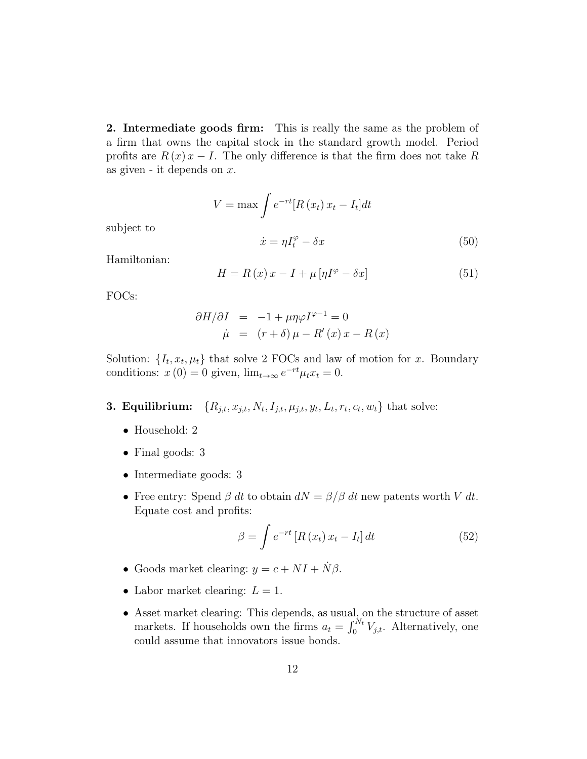2. Intermediate goods firm: This is really the same as the problem of a firm that owns the capital stock in the standard growth model. Period profits are  $R(x) x - I$ . The only difference is that the firm does not take R as given - it depends on  $x$ .

$$
V = \max \int e^{-rt} [R(x_t) x_t - I_t] dt
$$

$$
\dot{x} = \eta I_t^{\varphi} - \delta x
$$
(50)

subject to

Hamiltonian:

$$
H = R(x)x - I + \mu[\eta I^{\varphi} - \delta x]
$$
\n(51)

FOCs:

$$
\frac{\partial H}{\partial I} = -1 + \mu \eta \varphi I^{\varphi - 1} = 0
$$
  

$$
\dot{\mu} = (r + \delta) \mu - R'(x) x - R(x)
$$

Solution:  $\{I_t, x_t, \mu_t\}$  that solve 2 FOCs and law of motion for x. Boundary conditions:  $x(0) = 0$  given,  $\lim_{t \to \infty} e^{-rt} \mu_t x_t = 0$ .

- 3. Equilibrium:  $,I_{j,t}, \mu_{j,t}, y_t, L_t, r_t, c_t, w_t\}$  that solve:
	- Household: 2
	- Final goods: 3
	- Intermediate goods: 3
	- Free entry: Spend  $\beta$  dt to obtain  $dN = \beta/\beta$  dt new patents worth V dt. Equate cost and profits:

$$
\beta = \int e^{-rt} \left[ R\left(x_t\right) x_t - I_t \right] dt \tag{52}
$$

- Goods market clearing:  $y = c + NI + N\beta$ .
- Labor market clearing:  $L = 1$ .
- Asset market clearing: This depends, as usual, on the structure of asset markets. If households own the firms  $a_t = \int_0^{N_t} V_{j,t}$ . Alternatively, one could assume that innovators issue bonds.